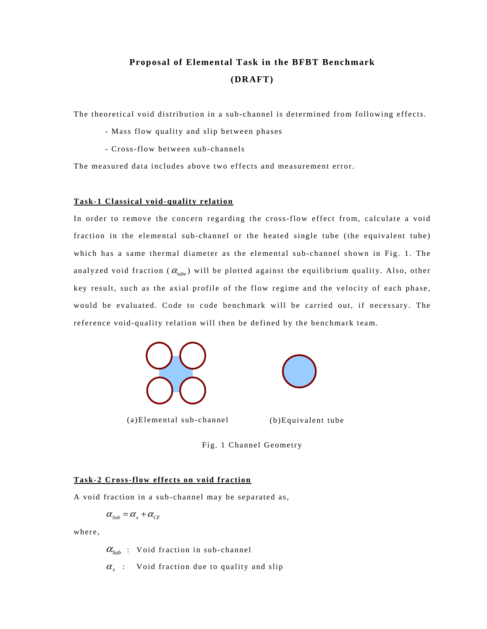# **Proposal of Elemental Task in the BFBT Benchmark (DRAFT)**

The theoretical void distribution in a sub-channel is determined from following effects.

- Mass flow quality and slip between phases
- Cross-flow between sub-channels

The measured data includes above two effects and measurement error.

## **Task-1 Classical void-quality relation**

In order to remove the concern regarding the cross-flow effect from, calculate a void fraction in the elemental sub-channel or the heated single tube (the equivalent tube) which has a same thermal diameter as the elemental sub-channel shown in Fig. 1. The analyzed void fraction ( $\alpha_{\mu b e}$ ) will be plotted against the equilibrium quality. Also, other key result, such as the axial profile of the flow regime and the velocity of each phase, would be evaluated. Code to code benchmark will be carried out, if necessary. The reference void-quality relation will then be defined by the benchmark team.





(a)Elemental sub-channel (b)Equivalent tube

Fig. 1 Channel Geometry

## **Task-2 Cross-flow effects on void fraction**

A void fraction in a sub-channel may be separated as,

$$
\alpha_{\text{Sub}} = \alpha_{\text{x}} + \alpha_{\text{CF}}
$$

where,

 $\alpha_{\text{Sub}}$  : Void fraction in sub-channel

 $\alpha_x$  : Void fraction due to quality and slip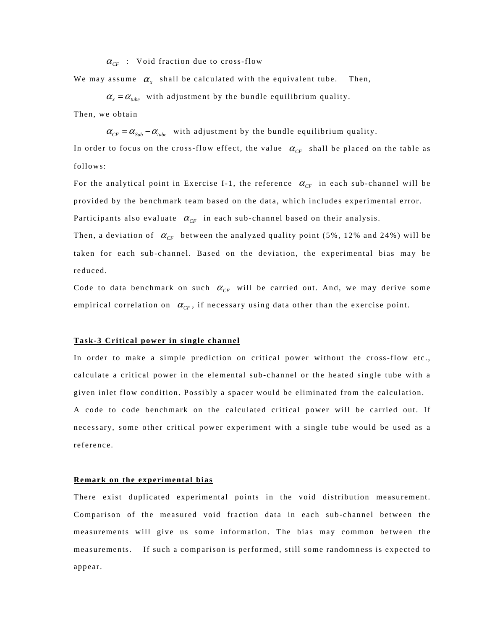$\alpha_{CF}$  : Void fraction due to cross-flow

We may assume  $\alpha_x$  shall be calculated with the equivalent tube. Then,

 $\alpha_x = \alpha_{\mu b e}$  with adjustment by the bundle equilibrium quality.

Then, we obtain

 $\alpha_{CF} = \alpha_{Sub} - \alpha_{tube}$  with adjustment by the bundle equilibrium quality.

In order to focus on the cross-flow effect, the value  $\alpha_{CF}$  shall be placed on the table as follows:

For the analytical point in Exercise I-1, the reference  $\alpha_{CF}$  in each sub-channel will be provided by the benchmark team based on the data, which includes experimental error.

Participants also evaluate  $\alpha_{CF}$  in each sub-channel based on their analysis.

Then, a deviation of  $\alpha_{CF}$  between the analyzed quality point (5%, 12% and 24%) will be taken for each sub-channel. Based on the deviation, the experimental bias may be reduced.

Code to data benchmark on such  $\alpha_{CF}$  will be carried out. And, we may derive some empirical correlation on  $\alpha_{CF}$ , if necessary using data other than the exercise point.

#### **Task-3 Critical power in single channel**

In order to make a simple prediction on critical power without the cross-flow etc., calculate a critical power in the elemental sub-channel or the heated single tube with a given inlet flow condition. Possibly a spacer would be eliminated from the calculation. A code to code benchmark on the calculated critical power will be carried out. If necessary, some other critical power experiment with a single tube would be used as a reference.

#### **Remark on the experimental bias**

There exist duplicated experimental points in the void distribution measurement. Comparison of the measured void fraction data in each sub-channel between the measurements will give us some information. The bias may common between the measurements. If such a comparison is performed, still some randomness is expected to appear.